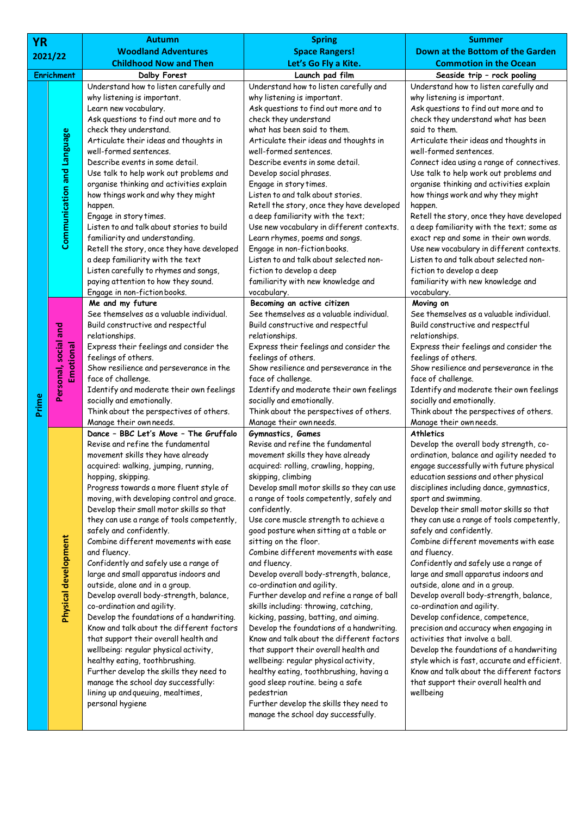| <b>YR</b> |                                   | <b>Autumn</b>                                                                                                                                                                                                                                                                                                                                                                                                                                                                                                                                                                                                                                                                                                                                                                                                                                                                                                                                                                                              | <b>Spring</b>                                                                                                                                                                                                                                                                                                                                                                                                                                                                                                                                                                                                                                                                                                                                                                                                                                                                                                                                                                                                   | <b>Summer</b>                                                                                                                                                                                                                                                                                                                                                                                                                                                                                                                                                                                                                                                                                                                                                                                                                                                                                                                                              |
|-----------|-----------------------------------|------------------------------------------------------------------------------------------------------------------------------------------------------------------------------------------------------------------------------------------------------------------------------------------------------------------------------------------------------------------------------------------------------------------------------------------------------------------------------------------------------------------------------------------------------------------------------------------------------------------------------------------------------------------------------------------------------------------------------------------------------------------------------------------------------------------------------------------------------------------------------------------------------------------------------------------------------------------------------------------------------------|-----------------------------------------------------------------------------------------------------------------------------------------------------------------------------------------------------------------------------------------------------------------------------------------------------------------------------------------------------------------------------------------------------------------------------------------------------------------------------------------------------------------------------------------------------------------------------------------------------------------------------------------------------------------------------------------------------------------------------------------------------------------------------------------------------------------------------------------------------------------------------------------------------------------------------------------------------------------------------------------------------------------|------------------------------------------------------------------------------------------------------------------------------------------------------------------------------------------------------------------------------------------------------------------------------------------------------------------------------------------------------------------------------------------------------------------------------------------------------------------------------------------------------------------------------------------------------------------------------------------------------------------------------------------------------------------------------------------------------------------------------------------------------------------------------------------------------------------------------------------------------------------------------------------------------------------------------------------------------------|
|           |                                   | <b>Woodland Adventures</b>                                                                                                                                                                                                                                                                                                                                                                                                                                                                                                                                                                                                                                                                                                                                                                                                                                                                                                                                                                                 | <b>Space Rangers!</b>                                                                                                                                                                                                                                                                                                                                                                                                                                                                                                                                                                                                                                                                                                                                                                                                                                                                                                                                                                                           | Down at the Bottom of the Garden                                                                                                                                                                                                                                                                                                                                                                                                                                                                                                                                                                                                                                                                                                                                                                                                                                                                                                                           |
| 2021/22   |                                   | <b>Childhood Now and Then</b>                                                                                                                                                                                                                                                                                                                                                                                                                                                                                                                                                                                                                                                                                                                                                                                                                                                                                                                                                                              | Let's Go Fly a Kite.                                                                                                                                                                                                                                                                                                                                                                                                                                                                                                                                                                                                                                                                                                                                                                                                                                                                                                                                                                                            | <b>Commotion in the Ocean</b>                                                                                                                                                                                                                                                                                                                                                                                                                                                                                                                                                                                                                                                                                                                                                                                                                                                                                                                              |
|           | <b>Enrichment</b>                 | Dalby Forest                                                                                                                                                                                                                                                                                                                                                                                                                                                                                                                                                                                                                                                                                                                                                                                                                                                                                                                                                                                               | Launch pad film                                                                                                                                                                                                                                                                                                                                                                                                                                                                                                                                                                                                                                                                                                                                                                                                                                                                                                                                                                                                 | Seaside trip - rock pooling                                                                                                                                                                                                                                                                                                                                                                                                                                                                                                                                                                                                                                                                                                                                                                                                                                                                                                                                |
|           |                                   | Understand how to listen carefully and<br>why listening is important.<br>Learn new vocabulary.                                                                                                                                                                                                                                                                                                                                                                                                                                                                                                                                                                                                                                                                                                                                                                                                                                                                                                             | Understand how to listen carefully and<br>why listening is important.<br>Ask questions to find out more and to                                                                                                                                                                                                                                                                                                                                                                                                                                                                                                                                                                                                                                                                                                                                                                                                                                                                                                  | Understand how to listen carefully and<br>why listening is important.<br>Ask questions to find out more and to                                                                                                                                                                                                                                                                                                                                                                                                                                                                                                                                                                                                                                                                                                                                                                                                                                             |
|           | <b>Communication and Language</b> | Ask questions to find out more and to<br>check they understand.<br>Articulate their ideas and thoughts in<br>well-formed sentences.<br>Describe events in some detail.<br>Use talk to help work out problems and<br>organise thinking and activities explain<br>how things work and why they might<br>happen.<br>Engage in story times.<br>Listen to and talk about stories to build<br>familiarity and understanding.<br>Retell the story, once they have developed<br>a deep familiarity with the text                                                                                                                                                                                                                                                                                                                                                                                                                                                                                                   | check they understand<br>what has been said to them.<br>Articulate their ideas and thoughts in<br>well-formed sentences.<br>Describe events in some detail.<br>Develop social phrases.<br>Engage in story times.<br>Listen to and talk about stories.<br>Retell the story, once they have developed<br>a deep familiarity with the text;<br>Use new vocabulary in different contexts.<br>Learn rhymes, poems and songs.<br>Engage in non-fiction books.<br>Listen to and talk about selected non-                                                                                                                                                                                                                                                                                                                                                                                                                                                                                                               | check they understand what has been<br>said to them.<br>Articulate their ideas and thoughts in<br>well-formed sentences.<br>Connect idea using a range of connectives.<br>Use talk to help work out problems and<br>organise thinking and activities explain<br>how things work and why they might<br>happen.<br>Retell the story, once they have developed<br>a deep familiarity with the text; some as<br>exact rep and some in their own words.<br>Use new vocabulary in different contexts.<br>Listen to and talk about selected non-                                                                                                                                                                                                                                                                                                                                                                                                                  |
| Prime     |                                   | Listen carefully to rhymes and songs,<br>paying attention to how they sound.<br>Engage in non-fiction books.                                                                                                                                                                                                                                                                                                                                                                                                                                                                                                                                                                                                                                                                                                                                                                                                                                                                                               | fiction to develop a deep<br>familiarity with new knowledge and<br>vocabulary.                                                                                                                                                                                                                                                                                                                                                                                                                                                                                                                                                                                                                                                                                                                                                                                                                                                                                                                                  | fiction to develop a deep<br>familiarity with new knowledge and<br>vocabulary.                                                                                                                                                                                                                                                                                                                                                                                                                                                                                                                                                                                                                                                                                                                                                                                                                                                                             |
|           | Personal, social and<br>Emotional | Me and my future<br>See themselves as a valuable individual.<br>Build constructive and respectful<br>relationships.<br>Express their feelings and consider the<br>feelings of others.<br>Show resilience and perseverance in the<br>face of challenge.<br>Identify and moderate their own feelings<br>socially and emotionally.<br>Think about the perspectives of others.<br>Manage their own needs.                                                                                                                                                                                                                                                                                                                                                                                                                                                                                                                                                                                                      | Becoming an active citizen<br>See themselves as a valuable individual.<br>Build constructive and respectful<br>relationships.<br>Express their feelings and consider the<br>feelings of others.<br>Show resilience and perseverance in the<br>face of challenge.<br>Identify and moderate their own feelings<br>socially and emotionally.<br>Think about the perspectives of others.<br>Manage their own needs.                                                                                                                                                                                                                                                                                                                                                                                                                                                                                                                                                                                                 | Moving on<br>See themselves as a valuable individual.<br>Build constructive and respectful<br>relationships.<br>Express their feelings and consider the<br>feelings of others.<br>Show resilience and perseverance in the<br>face of challenge.<br>Identify and moderate their own feelings<br>socially and emotionally.<br>Think about the perspectives of others.<br>Manage their own needs.                                                                                                                                                                                                                                                                                                                                                                                                                                                                                                                                                             |
|           | Physical development              | Dance - BBC Let's Move - The Gruffalo<br>Revise and refine the fundamental<br>movement skills they have already<br>acquired: walking, jumping, running,<br>hopping, skipping.<br>Progress towards a more fluent style of<br>moving, with developing control and grace.<br>Develop their small motor skills so that<br>they can use a range of tools competently,<br>safely and confidently.<br>Combine different movements with ease<br>and fluency.<br>Confidently and safely use a range of<br>large and small apparatus indoors and<br>outside, alone and in a group.<br>Develop overall body-strength, balance,<br>co-ordination and agility.<br>Develop the foundations of a handwriting.<br>Know and talk about the different factors<br>that support their overall health and<br>wellbeing: regular physical activity,<br>healthy eating, toothbrushing.<br>Further develop the skills they need to<br>manage the school day successfully:<br>lining up and queuing, mealtimes,<br>personal hygiene | Gymnastics, Games<br>Revise and refine the fundamental<br>movement skills they have already<br>acquired: rolling, crawling, hopping,<br>skipping, climbing<br>Develop small motor skills so they can use<br>a range of tools competently, safely and<br>confidently.<br>Use core muscle strength to achieve a<br>good posture when sitting at a table or<br>sitting on the floor.<br>Combine different movements with ease<br>and fluency.<br>Develop overall body-strength, balance,<br>co-ordination and agility.<br>Further develop and refine a range of ball<br>skills including: throwing, catching,<br>kicking, passing, batting, and aiming.<br>Develop the foundations of a handwriting.<br>Know and talk about the different factors<br>that support their overall health and<br>wellbeing: regular physical activity,<br>healthy eating, toothbrushing, having a<br>good sleep routine. being a safe<br>pedestrian<br>Further develop the skills they need to<br>manage the school day successfully. | <b>Athletics</b><br>Develop the overall body strength, co-<br>ordination, balance and agility needed to<br>engage successfully with future physical<br>education sessions and other physical<br>disciplines including dance, gymnastics,<br>sport and swimming.<br>Develop their small motor skills so that<br>they can use a range of tools competently,<br>safely and confidently.<br>Combine different movements with ease<br>and fluency.<br>Confidently and safely use a range of<br>large and small apparatus indoors and<br>outside, alone and in a group.<br>Develop overall body-strength, balance,<br>co-ordination and agility.<br>Develop confidence, competence,<br>precision and accuracy when engaging in<br>activities that involve a ball.<br>Develop the foundations of a handwriting<br>style which is fast, accurate and efficient.<br>Know and talk about the different factors<br>that support their overall health and<br>wellbeing |